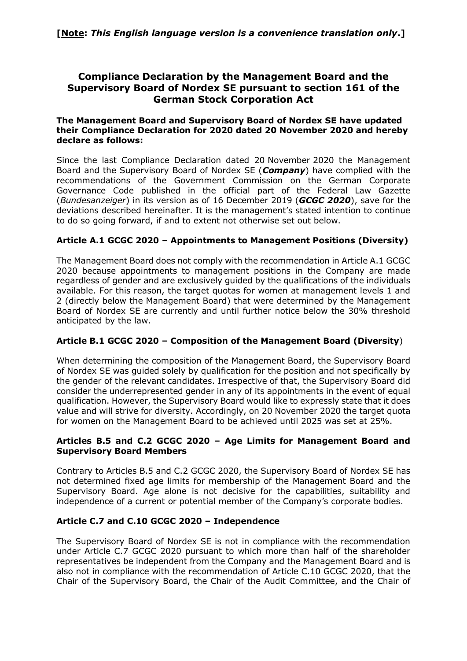# **Compliance Declaration by the Management Board and the Supervisory Board of Nordex SE pursuant to section 161 of the German Stock Corporation Act**

#### **The Management Board and Supervisory Board of Nordex SE have updated their Compliance Declaration for 2020 dated 20 November 2020 and hereby declare as follows:**

Since the last Compliance Declaration dated 20 November 2020 the Management Board and the Supervisory Board of Nordex SE (*Company*) have complied with the recommendations of the Government Commission on the German Corporate Governance Code published in the official part of the Federal Law Gazette (*Bundesanzeiger*) in its version as of 16 December 2019 (*GCGC 2020*), save for the deviations described hereinafter. It is the management's stated intention to continue to do so going forward, if and to extent not otherwise set out below.

## **Article A.1 GCGC 2020 – Appointments to Management Positions (Diversity)**

The Management Board does not comply with the recommendation in Article A.1 GCGC 2020 because appointments to management positions in the Company are made regardless of gender and are exclusively guided by the qualifications of the individuals available. For this reason, the target quotas for women at management levels 1 and 2 (directly below the Management Board) that were determined by the Management Board of Nordex SE are currently and until further notice below the 30% threshold anticipated by the law.

#### **Article B.1 GCGC 2020 – Composition of the Management Board (Diversity**)

When determining the composition of the Management Board, the Supervisory Board of Nordex SE was guided solely by qualification for the position and not specifically by the gender of the relevant candidates. Irrespective of that, the Supervisory Board did consider the underrepresented gender in any of its appointments in the event of equal qualification. However, the Supervisory Board would like to expressly state that it does value and will strive for diversity. Accordingly, on 20 November 2020 the target quota for women on the Management Board to be achieved until 2025 was set at 25%.

#### **Articles B.5 and C.2 GCGC 2020 – Age Limits for Management Board and Supervisory Board Members**

Contrary to Articles B.5 and C.2 GCGC 2020, the Supervisory Board of Nordex SE has not determined fixed age limits for membership of the Management Board and the Supervisory Board. Age alone is not decisive for the capabilities, suitability and independence of a current or potential member of the Company's corporate bodies.

### **Article C.7 and C.10 GCGC 2020 – Independence**

The Supervisory Board of Nordex SE is not in compliance with the recommendation under Article C.7 GCGC 2020 pursuant to which more than half of the shareholder representatives be independent from the Company and the Management Board and is also not in compliance with the recommendation of Article C.10 GCGC 2020, that the Chair of the Supervisory Board, the Chair of the Audit Committee, and the Chair of